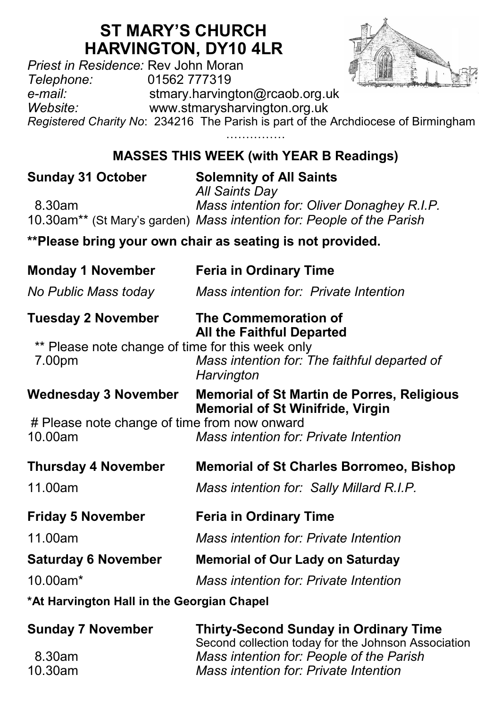# **ST MARY'S CHURCH HARVINGTON, DY10 4LR**

*Priest in Residence: Rev John Moran*<br>
Telephone: 01562 777319 *Telephone:* 01562 777319 *e-mail:* stmary.harvington@rcaob.org.uk *Website:* www.stmarysharvington.org.uk *Registered Charity No*: 234216 The Parish is part of the Archdiocese of Birmingham ……………

## **MASSES THIS WEEK (with YEAR B Readings)**

| <b>Sunday 31 October</b>                                              | <b>Solemnity of All Saints</b><br><b>All Saints Day</b> |  |  |  |
|-----------------------------------------------------------------------|---------------------------------------------------------|--|--|--|
| 8.30am                                                                | Mass intention for: Oliver Donaghey R.I.P.              |  |  |  |
| 10.30am** (St Mary's garden) Mass intention for: People of the Parish |                                                         |  |  |  |
| **Please bring your own chair as seating is not provided.             |                                                         |  |  |  |
| <b>Monday 1 November</b>                                              | <b>Feria in Ordinary Time</b>                           |  |  |  |
| No Public Mass today                                                  | Mass intention for: Private Intention                   |  |  |  |

| Tuesday 2 November                               | The Commemoration of             |
|--------------------------------------------------|----------------------------------|
|                                                  | <b>All the Faithful Departed</b> |
| ** Dlogeo poto chappe of time for this wook only |                                  |

Please note change of time for this week only 7.00pm *Mass intention for: The faithful departed of Harvington*

**Wednesday 3 November Memorial of St Martin de Porres, Religious Memorial of St Winifride, Virgin**

# Please note change of time from now onward<br>10.00am Mass intention for 10.00am *Mass intention for: Private Intention*

**Thursday 4 November Memorial of St Charles Borromeo, Bishop**

11.00am *Mass intention for: Sally Millard R.I.P.*

**Friday 5 November Feria in Ordinary Time**

11.00am *Mass intention for: Private Intention*

### **Saturday 6 November Memorial of Our Lady on Saturday**

10.00am\* *Mass intention for: Private Intention*

**\*At Harvington Hall in the Georgian Chapel**

| <b>Sunday 7 November</b> | <b>Thirty-Second Sunday in Ordinary Time</b>        |  |
|--------------------------|-----------------------------------------------------|--|
|                          | Second collection today for the Johnson Association |  |
| 8.30am                   | Mass intention for: People of the Parish            |  |
| 10.30am                  | Mass intention for: Private Intention               |  |

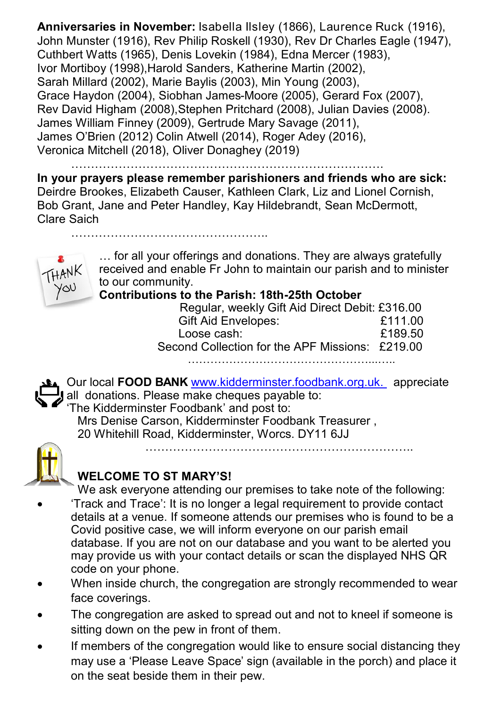**Anniversaries in November:** Isabella Ilsley (1866), Laurence Ruck (1916), John Munster (1916), Rev Philip Roskell (1930), Rev Dr Charles Eagle (1947), Cuthbert Watts (1965), Denis Lovekin (1984), Edna Mercer (1983), Ivor Mortiboy (1998),Harold Sanders, Katherine Martin (2002), Sarah Millard (2002), Marie Baylis (2003), Min Young (2003), Grace Haydon (2004), Siobhan James-Moore (2005), Gerard Fox (2007), Rev David Higham (2008),Stephen Pritchard (2008), Julian Davies (2008). James William Finney (2009), Gertrude Mary Savage (2011), James O'Brien (2012) Colin Atwell (2014), Roger Adey (2016), Veronica Mitchell (2018), Oliver Donaghey (2019)

…………………………………………………………………….

**In your prayers please remember parishioners and friends who are sick:**  Deirdre Brookes, Elizabeth Causer, Kathleen Clark, Liz and Lionel Cornish, Bob Grant, Jane and Peter Handley, Kay Hildebrandt, Sean McDermott, Clare Saich



… for all your offerings and donations. They are always gratefully received and enable Fr John to maintain our parish and to minister to our community.

#### **Contributions to the Parish: 18th-25th October**

| Regular, weekly Gift Aid Direct Debit: £316.00  |         |
|-------------------------------------------------|---------|
| <b>Gift Aid Envelopes:</b>                      | £111.00 |
| Loose cash:                                     | £189.50 |
| Second Collection for the APF Missions: £219.00 |         |
|                                                 |         |

Our local **FOOD BANK** www.kidderminster.foodbank.org.uk. appreciate عالم all donations. Please make cheques payable to: 'The Kidderminster Foodbank' and post to:

 Mrs Denise Carson, Kidderminster Foodbank Treasurer , 20 Whitehill Road, Kidderminster, Worcs. DY11 6JJ



### **WELCOME TO ST MARY'S!**

…………………………………………..

We ask everyone attending our premises to take note of the following:

…………………………………………………………..

- 'Track and Trace': It is no longer a legal requirement to provide contact details at a venue. If someone attends our premises who is found to be a Covid positive case, we will inform everyone on our parish email database. If you are not on our database and you want to be alerted you may provide us with your contact details or scan the displayed NHS QR code on your phone.
- When inside church, the congregation are strongly recommended to wear face coverings.
- The congregation are asked to spread out and not to kneel if someone is sitting down on the pew in front of them.
- If members of the congregation would like to ensure social distancing they may use a 'Please Leave Space' sign (available in the porch) and place it on the seat beside them in their pew.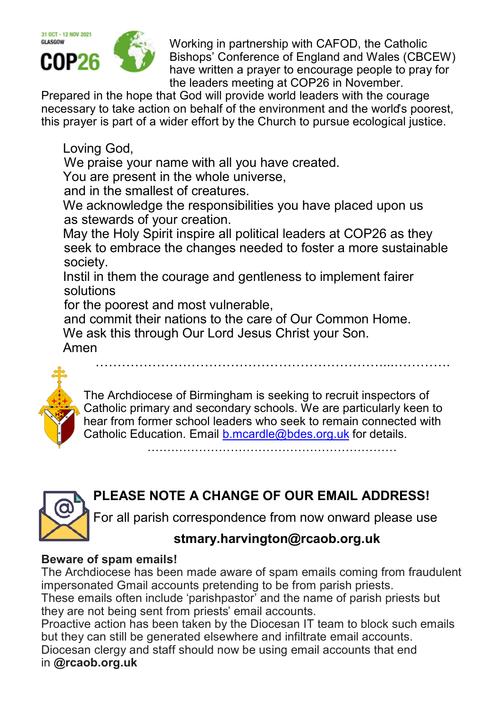

Working in partnership with CAFOD, the Catholic Bishops' Conference of England and Wales (CBCEW) have written a prayer to encourage people to pray for the leaders meeting at COP26 in November.

Prepared in the hope that God will provide world leaders with the courage necessary to take action on behalf of the environment and the world's poorest, this prayer is part of a wider effort by the Church to pursue ecological justice.

Loving God,

We praise your name with all you have created.

You are present in the whole universe.

and in the smallest of creatures.

We acknowledge the responsibilities you have placed upon us as stewards of your creation.

May the Holy Spirit inspire all political leaders at COP26 as they seek to embrace the changes needed to foster a more sustainable society.

Instil in them the courage and gentleness to implement fairer solutions

for the poorest and most vulnerable,

and commit their nations to the care of Our Common Home.

We ask this through Our Lord Jesus Christ your Son.

Amen



The Archdiocese of Birmingham is seeking to recruit inspectors of Catholic primary and secondary schools. We are particularly keen to hear from former school leaders who seek to remain connected with Catholic Education. Email [b.mcardle@bdes.org.uk](mailto:b.mcardle@bdes.org.uk) for details.

…………………………………………………………...………….

# **PLEASE NOTE A CHANGE OF OUR EMAIL ADDRESS!**

For all parish correspondence from now onward please use

### **stmary.harvington@rcaob.org.uk**

#### **Beware of spam emails!**

The Archdiocese has been made aware of spam emails coming from fraudulent impersonated Gmail accounts pretending to be from parish priests.

These emails often include 'parishpastor' and the name of parish priests but they are not being sent from priests' email accounts.

Proactive action has been taken by the Diocesan IT team to block such emails but they can still be generated elsewhere and infiltrate email accounts.

Diocesan clergy and staff should now be using email accounts that end in **@rcaob.org.uk**